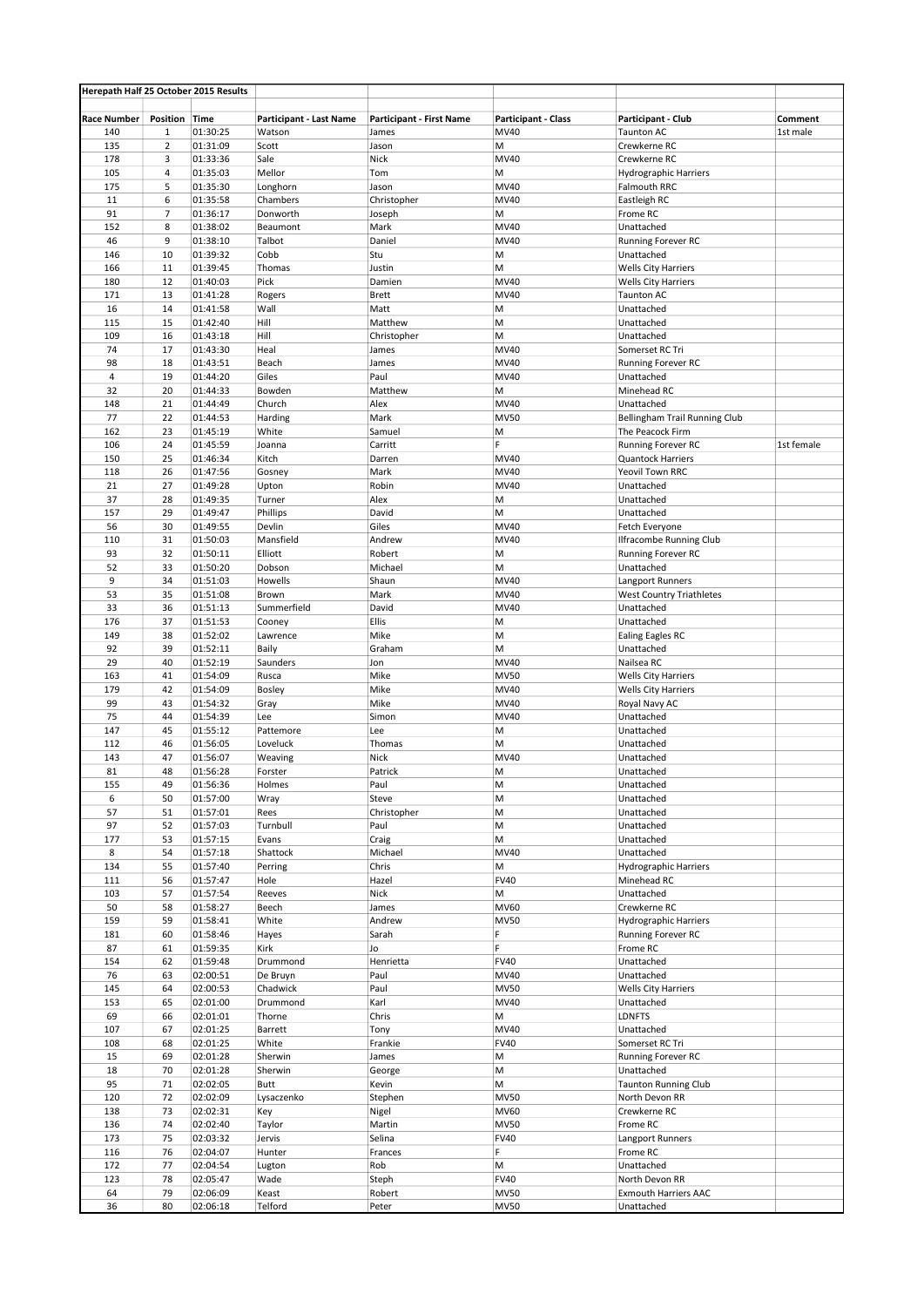| Herepath Half 25 October 2015 Results |                     |                      |                         |                                 |                            |                                                      |            |
|---------------------------------------|---------------------|----------------------|-------------------------|---------------------------------|----------------------------|------------------------------------------------------|------------|
|                                       |                     |                      |                         |                                 |                            |                                                      |            |
| <b>Race Number</b>                    | Position Time       |                      | Participant - Last Name | <b>Participant - First Name</b> | <b>Participant - Class</b> | Participant - Club                                   | Comment    |
| 140                                   | $\mathbf{1}$        | 01:30:25             | Watson                  | James                           | MV40                       | <b>Taunton AC</b>                                    | 1st male   |
| 135                                   | $\sqrt{2}$          | 01:31:09             | Scott                   | Jason                           | М                          | Crewkerne RC                                         |            |
| 178                                   | 3<br>$\overline{4}$ | 01:33:36<br>01:35:03 | Sale                    | Nick                            | MV40<br>M                  | Crewkerne RC<br><b>Hydrographic Harriers</b>         |            |
| 105<br>175                            | 5                   | 01:35:30             | Mellor<br>Longhorn      | Tom                             | MV40                       | Falmouth RRC                                         |            |
| 11                                    | 6                   | 01:35:58             | Chambers                | Jason<br>Christopher            | MV40                       | Eastleigh RC                                         |            |
| 91                                    | $\overline{7}$      | 01:36:17             | Donworth                | Joseph                          | M                          | Frome RC                                             |            |
| 152                                   | 8                   | 01:38:02             | Beaumont                | Mark                            | MV40                       | Unattached                                           |            |
| 46                                    | 9                   | 01:38:10             | Talbot                  | Daniel                          | MV40                       | Running Forever RC                                   |            |
| 146                                   | 10                  | 01:39:32             | Cobb                    | Stu                             | M                          | Unattached                                           |            |
| 166                                   | 11                  | 01:39:45             | Thomas                  | Justin                          | M                          | <b>Wells City Harriers</b>                           |            |
| 180                                   | 12                  | 01:40:03             | Pick                    | Damien                          | MV40                       | <b>Wells City Harriers</b>                           |            |
| 171                                   | 13                  | 01:41:28             | Rogers                  | <b>Brett</b>                    | MV40                       | <b>Taunton AC</b>                                    |            |
| 16                                    | 14                  | 01:41:58             | Wall                    | Matt                            | M                          | Unattached                                           |            |
| 115                                   | 15                  | 01:42:40             | Hill                    | Matthew                         | М                          | Unattached                                           |            |
| 109                                   | 16                  | 01:43:18             | Hill                    | Christopher                     | M                          | Unattached                                           |            |
| 74                                    | 17                  | 01:43:30             | Heal                    | James                           | MV40                       | Somerset RC Tri                                      |            |
| 98                                    | 18                  | 01:43:51             | Beach                   | James                           | MV40                       | Running Forever RC                                   |            |
| $\overline{4}$                        | 19                  | 01:44:20             | Giles                   | Paul                            | MV40                       | Unattached                                           |            |
| 32                                    | 20                  | 01:44:33             | Bowden                  | Matthew                         | M                          | Minehead RC                                          |            |
| 148                                   | 21                  | 01:44:49             | Church                  | Alex                            | MV40                       | Unattached                                           |            |
| 77                                    | 22                  | 01:44:53             | Harding                 | Mark                            | <b>MV50</b>                | Bellingham Trail Running Club                        |            |
| 162                                   | 23                  | 01:45:19             | White                   | Samuel                          | M                          | The Peacock Firm                                     |            |
| 106                                   | 24                  | 01:45:59             | Joanna                  | Carritt                         | F.                         | Running Forever RC                                   | 1st female |
| 150                                   | 25                  | 01:46:34             | Kitch                   | Darren                          | MV40                       | <b>Quantock Harriers</b>                             |            |
| 118                                   | 26                  | 01:47:56             | Gosney                  | Mark                            | MV40                       | Yeovil Town RRC                                      |            |
| 21                                    | 27                  | 01:49:28             | Upton                   | Robin                           | MV40                       | Unattached                                           |            |
| 37                                    | 28                  | 01:49:35             | Turner                  | Alex                            | M                          | Unattached                                           |            |
| 157<br>56                             | 29<br>30            | 01:49:47             | Phillips<br>Devlin      | David<br>Giles                  | M<br>MV40                  | Unattached                                           |            |
| 110                                   | 31                  | 01:49:55<br>01:50:03 | Mansfield               | Andrew                          | MV40                       | Fetch Everyone                                       |            |
| 93                                    | 32                  | 01:50:11             | Elliott                 | Robert                          | M                          | <b>Ilfracombe Running Club</b><br>Running Forever RC |            |
| 52                                    | 33                  | 01:50:20             | Dobson                  | Michael                         | M                          | Unattached                                           |            |
| 9                                     | 34                  | 01:51:03             | Howells                 | Shaun                           | MV40                       | Langport Runners                                     |            |
| 53                                    | 35                  | 01:51:08             | Brown                   | Mark                            | MV40                       | <b>West Country Triathletes</b>                      |            |
| 33                                    | 36                  | 01:51:13             | Summerfield             | David                           | MV40                       | Unattached                                           |            |
| 176                                   | 37                  | 01:51:53             | Cooney                  | <b>Ellis</b>                    | M                          | Unattached                                           |            |
| 149                                   | 38                  | 01:52:02             | Lawrence                | Mike                            | M                          | Ealing Eagles RC                                     |            |
| 92                                    | 39                  | 01:52:11             | Baily                   | Graham                          | M                          | Unattached                                           |            |
| 29                                    | 40                  | 01:52:19             | Saunders                | Jon                             | MV40                       | Nailsea RC                                           |            |
| 163                                   | 41                  | 01:54:09             | Rusca                   | Mike                            | <b>MV50</b>                | <b>Wells City Harriers</b>                           |            |
| 179                                   | 42                  | 01:54:09             | <b>Bosley</b>           | Mike                            | MV40                       | <b>Wells City Harriers</b>                           |            |
| 99                                    | 43                  | 01:54:32             | Gray                    | Mike                            | MV40                       | Royal Navy AC                                        |            |
| 75                                    | 44                  | 01:54:39             | Lee                     | Simon                           | MV40                       | Unattached                                           |            |
| 147                                   | 45                  | 01:55:12             | Pattemore               | Lee                             | М                          | Unattached                                           |            |
| 112                                   | 46                  | 01:56:05             | Loveluck                | Thomas                          | М                          | Unattached                                           |            |
| 143                                   | 47                  | 01:56:07             | Weaving                 | Nick                            | MV40                       | Unattached                                           |            |
| 81                                    | 48                  | 01:56:28             | Forster                 | Patrick                         | M                          | Unattached                                           |            |
| 155                                   | 49                  | 01:56:36             | Holmes                  | Paul                            | М                          | Unattached                                           |            |
| 6                                     | 50                  | 01:57:00             | Wray                    | Steve                           | Μ                          | Unattached                                           |            |
| 57                                    | 51                  | 01:57:01             | Rees                    | Christopher                     | M                          | Unattached                                           |            |
| 97                                    | 52                  | 01:57:03             | Turnbull                | Paul                            | M                          | Unattached                                           |            |
| 177<br>8                              | 53                  | 01:57:15             | Evans                   | Craig                           | М                          | Unattached                                           |            |
| 134                                   | 54<br>55            | 01:57:18<br>01:57:40 | Shattock<br>Perring     | Michael<br>Chris                | MV40<br>М                  | Unattached<br><b>Hydrographic Harriers</b>           |            |
| 111                                   | 56                  | 01:57:47             | Hole                    | Hazel                           | <b>FV40</b>                | Minehead RC                                          |            |
| 103                                   | 57                  | 01:57:54             | Reeves                  | Nick                            | М                          | Unattached                                           |            |
| 50                                    | 58                  | 01:58:27             | Beech                   | James                           | MV60                       | Crewkerne RC                                         |            |
| 159                                   | 59                  | 01:58:41             | White                   | Andrew                          | <b>MV50</b>                | Hydrographic Harriers                                |            |
| 181                                   | 60                  | 01:58:46             | Hayes                   | Sarah                           | F                          | Running Forever RC                                   |            |
| 87                                    | 61                  | 01:59:35             | Kirk                    | Jo                              | F                          | Frome RC                                             |            |
| 154                                   | 62                  | 01:59:48             | Drummond                | Henrietta                       | <b>FV40</b>                | Unattached                                           |            |
| 76                                    | 63                  | 02:00:51             | De Bruyn                | Paul                            | MV40                       | Unattached                                           |            |
| 145                                   | 64                  | 02:00:53             | Chadwick                | Paul                            | <b>MV50</b>                | <b>Wells City Harriers</b>                           |            |
| 153                                   | 65                  | 02:01:00             | Drummond                | Karl                            | MV40                       | Unattached                                           |            |
| 69                                    | 66                  | 02:01:01             | Thorne                  | Chris                           | М                          | <b>LDNFTS</b>                                        |            |
| 107                                   | 67                  | 02:01:25             | Barrett                 | Tony                            | MV40                       | Unattached                                           |            |
| 108                                   | 68                  | 02:01:25             | White                   | Frankie                         | <b>FV40</b>                | Somerset RC Tri                                      |            |
| 15                                    | 69                  | 02:01:28             | Sherwin                 | James                           | М                          | Running Forever RC                                   |            |
| 18                                    | 70                  | 02:01:28             | Sherwin                 | George                          | М                          | Unattached                                           |            |
| 95                                    | 71                  | 02:02:05             | Butt                    | Kevin                           | М                          | <b>Taunton Running Club</b>                          |            |
| 120                                   | 72                  | 02:02:09             | Lysaczenko              | Stephen                         | <b>MV50</b>                | North Devon RR                                       |            |
| 138                                   | 73                  | 02:02:31             | Key                     | Nigel                           | MV60                       | Crewkerne RC                                         |            |
| 136                                   | 74                  | 02:02:40             | Taylor                  | Martin                          | <b>MV50</b>                | Frome RC                                             |            |
| 173                                   | 75                  | 02:03:32             | Jervis                  | Selina                          | <b>FV40</b>                | Langport Runners                                     |            |
| 116                                   | 76                  | 02:04:07             | Hunter                  | Frances                         | F                          | Frome RC                                             |            |
| 172                                   | 77                  | 02:04:54             | Lugton                  | Rob                             | М                          | Unattached                                           |            |
| 123                                   | 78                  | 02:05:47             | Wade                    | Steph                           | <b>FV40</b>                | North Devon RR                                       |            |
| 64                                    | 79                  | 02:06:09             | Keast                   | Robert                          | <b>MV50</b>                | <b>Exmouth Harriers AAC</b>                          |            |
| 36                                    | 80                  | 02:06:18             | Telford                 | Peter                           | <b>MV50</b>                | Unattached                                           |            |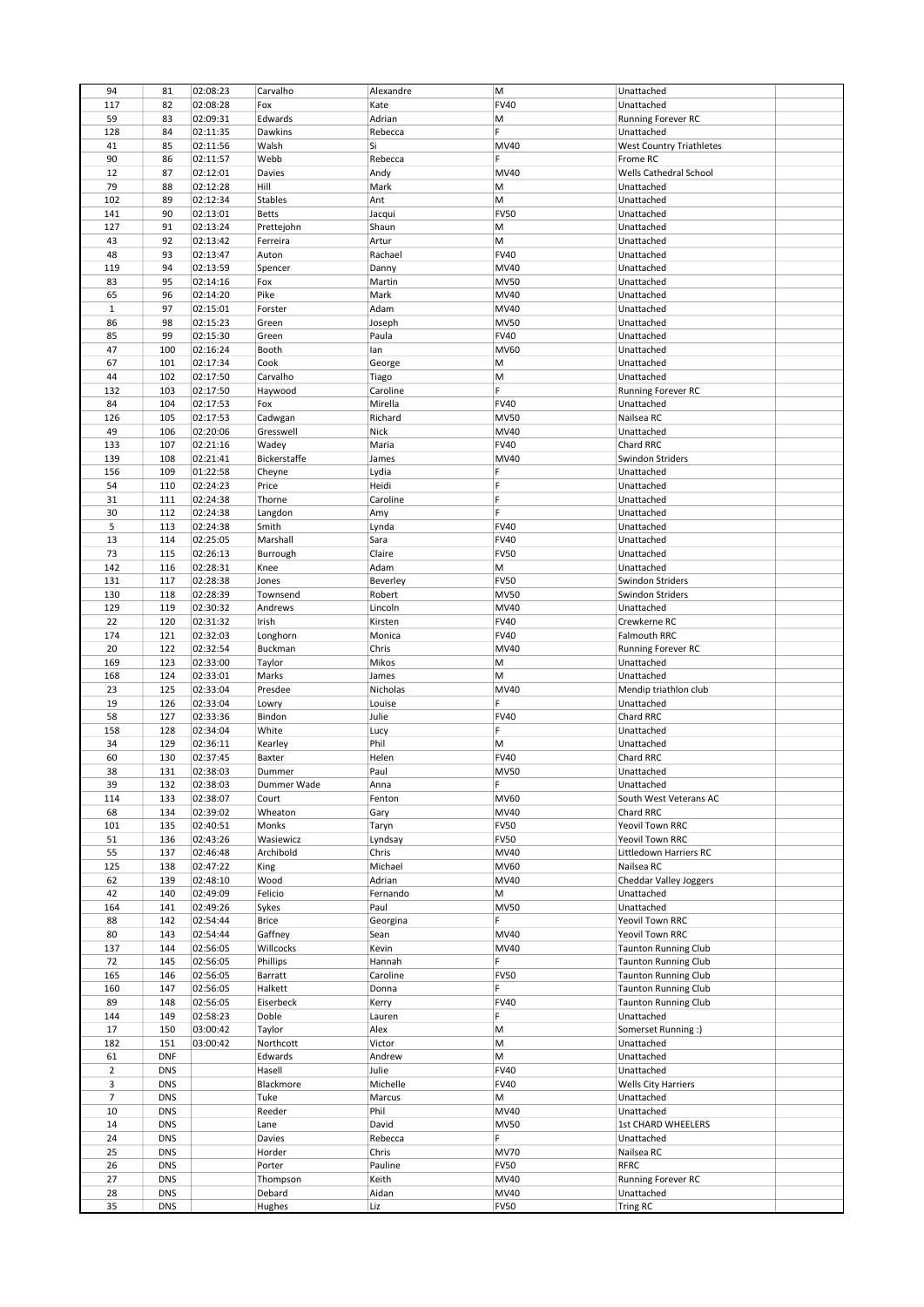| 94             |            |          |              |           |             |                                 |  |
|----------------|------------|----------|--------------|-----------|-------------|---------------------------------|--|
|                | 81         | 02:08:23 | Carvalho     | Alexandre | М           | Unattached                      |  |
| 117            | 82         | 02:08:28 | Fox          | Kate      | <b>FV40</b> | Unattached                      |  |
| 59             | 83         | 02:09:31 | Edwards      | Adrian    | M           | Running Forever RC              |  |
|                |            |          |              |           | F           |                                 |  |
| 128            | 84         | 02:11:35 | Dawkins      | Rebecca   |             | Unattached                      |  |
| 41             | 85         | 02:11:56 | Walsh        | Si        | MV40        | <b>West Country Triathletes</b> |  |
| 90             | 86         | 02:11:57 | Webb         | Rebecca   | F           | Frome RC                        |  |
| 12             | 87         | 02:12:01 | Davies       | Andy      | MV40        | Wells Cathedral School          |  |
|                |            |          |              |           |             |                                 |  |
| 79             | 88         | 02:12:28 | Hill         | Mark      | Μ           | Unattached                      |  |
| 102            | 89         | 02:12:34 | Stables      | Ant       | Μ           | Unattached                      |  |
| 141            | 90         | 02:13:01 | <b>Betts</b> | Jacqui    | <b>FV50</b> | Unattached                      |  |
|                |            |          |              |           |             |                                 |  |
| 127            | 91         | 02:13:24 | Prettejohn   | Shaun     | М           | Unattached                      |  |
| 43             | 92         | 02:13:42 | Ferreira     | Artur     | M           | Unattached                      |  |
| 48             | 93         | 02:13:47 | Auton        | Rachael   | <b>FV40</b> | Unattached                      |  |
|                |            |          |              |           |             |                                 |  |
| 119            | 94         | 02:13:59 | Spencer      | Danny     | MV40        | Unattached                      |  |
| 83             | 95         | 02:14:16 | Fox          | Martin    | <b>MV50</b> | Unattached                      |  |
| 65             | 96         | 02:14:20 | Pike         | Mark      | MV40        | Unattached                      |  |
|                |            |          |              |           |             |                                 |  |
| $\mathbf 1$    | 97         | 02:15:01 | Forster      | Adam      | MV40        | Unattached                      |  |
| 86             | 98         | 02:15:23 | Green        | Joseph    | <b>MV50</b> | Unattached                      |  |
| 85             | 99         | 02:15:30 | Green        | Paula     | <b>FV40</b> | Unattached                      |  |
| 47             | 100        |          | Booth        |           | MV60        |                                 |  |
|                |            | 02:16:24 |              | lan       |             | Unattached                      |  |
| 67             | 101        | 02:17:34 | Cook         | George    | М           | Unattached                      |  |
| 44             | 102        | 02:17:50 | Carvalho     | Tiago     | М           | Unattached                      |  |
| 132            | 103        |          | Haywood      | Caroline  | F           |                                 |  |
|                |            | 02:17:50 |              |           |             | Running Forever RC              |  |
| 84             | 104        | 02:17:53 | Fox          | Mirella   | <b>FV40</b> | Unattached                      |  |
| 126            | 105        | 02:17:53 | Cadwgan      | Richard   | <b>MV50</b> | Nailsea RC                      |  |
| 49             | 106        | 02:20:06 | Gresswell    | Nick      | MV40        | Unattached                      |  |
|                |            |          |              |           |             |                                 |  |
| 133            | 107        | 02:21:16 | Wadey        | Maria     | <b>FV40</b> | Chard RRC                       |  |
| 139            | 108        | 02:21:41 | Bickerstaffe | James     | MV40        | Swindon Striders                |  |
| 156            | 109        | 01:22:58 | Cheyne       | Lydia     | F           | Unattached                      |  |
|                |            |          |              |           |             |                                 |  |
| 54             | 110        | 02:24:23 | Price        | Heidi     | F           | Unattached                      |  |
| 31             | 111        | 02:24:38 | Thorne       | Caroline  | F           | Unattached                      |  |
| 30             | 112        | 02:24:38 | Langdon      | Amy       | F.          | Unattached                      |  |
|                |            |          |              |           |             |                                 |  |
| 5              | 113        | 02:24:38 | Smith        | Lynda     | <b>FV40</b> | Unattached                      |  |
| 13             | 114        | 02:25:05 | Marshall     | Sara      | <b>FV40</b> | Unattached                      |  |
| 73             | 115        | 02:26:13 | Burrough     | Claire    | <b>FV50</b> | Unattached                      |  |
|                |            |          |              |           |             |                                 |  |
| 142            | 116        | 02:28:31 | Knee         | Adam      | М           | Unattached                      |  |
| 131            | 117        | 02:28:38 | Jones        | Beverley  | <b>FV50</b> | Swindon Striders                |  |
| 130            | 118        | 02:28:39 | Townsend     | Robert    | <b>MV50</b> | Swindon Striders                |  |
|                |            |          |              |           |             |                                 |  |
| 129            | 119        | 02:30:32 | Andrews      | Lincoln   | MV40        | Unattached                      |  |
| 22             | 120        | 02:31:32 | Irish        | Kirsten   | <b>FV40</b> | Crewkerne RC                    |  |
| 174            | 121        | 02:32:03 | Longhorn     | Monica    | <b>FV40</b> | Falmouth RRC                    |  |
|                |            |          |              |           |             |                                 |  |
| 20             | 122        | 02:32:54 | Buckman      | Chris     | MV40        | Running Forever RC              |  |
| 169            | 123        | 02:33:00 | Taylor       | Mikos     | M           | Unattached                      |  |
| 168            | 124        | 02:33:01 | Marks        | James     | Μ           | Unattached                      |  |
|                |            |          |              |           |             |                                 |  |
|                |            |          |              |           |             |                                 |  |
| 23             | 125        | 02:33:04 | Presdee      | Nicholas  | MV40        | Mendip triathlon club           |  |
| 19             | 126        | 02:33:04 | Lowry        | Louise    | F           | Unattached                      |  |
|                |            |          |              |           |             |                                 |  |
| 58             | 127        | 02:33:36 | Bindon       | Julie     | <b>FV40</b> | Chard RRC                       |  |
| 158            | 128        | 02:34:04 | White        | Lucy      | F           | Unattached                      |  |
| 34             | 129        | 02:36:11 | Kearley      | Phil      | Μ           | Unattached                      |  |
|                |            |          |              |           |             |                                 |  |
| 60             | 130        | 02:37:45 | Baxter       | Helen     | <b>FV40</b> | Chard RRC                       |  |
| 38             | 131        | 02:38:03 | Dummer       | Paul      | <b>MV50</b> | Unattached                      |  |
| 39             | 132        | 02:38:03 | Dummer Wade  | Anna      | F           | Unattached                      |  |
| 114            | 133        | 02:38:07 | Court        | Fenton    | MV60        | South West Veterans AC          |  |
|                |            |          |              |           |             |                                 |  |
| 68             | 134        | 02:39:02 | Wheaton      | Gary      | MV40        | Chard RRC                       |  |
| 101            | 135        | 02:40:51 | Monks        | Taryn     | <b>FV50</b> | Yeovil Town RRC                 |  |
| 51             | 136        | 02:43:26 | Wasiewicz    | Lyndsay   | <b>FV50</b> | Yeovil Town RRC                 |  |
|                |            |          |              |           |             |                                 |  |
| 55             | 137        | 02:46:48 | Archibold    | Chris     | MV40        | Littledown Harriers RC          |  |
| 125            | 138        | 02:47:22 | King         | Michael   | MV60        | Nailsea RC                      |  |
| 62             | 139        | 02:48:10 | Wood         | Adrian    | MV40        | Cheddar Valley Joggers          |  |
| 42             | 140        | 02:49:09 | Felicio      | Fernando  | М           | Unattached                      |  |
|                |            |          |              |           |             |                                 |  |
| 164            | 141        | 02:49:26 | Sykes        | Paul      | <b>MV50</b> | Unattached                      |  |
| 88             | 142        | 02:54:44 | <b>Brice</b> | Georgina  | F.          | Yeovil Town RRC                 |  |
| 80             | 143        | 02:54:44 | Gaffney      | Sean      | MV40        | Yeovil Town RRC                 |  |
|                |            |          |              |           |             |                                 |  |
| 137            | 144        | 02:56:05 | Willcocks    | Kevin     | MV40        | <b>Taunton Running Club</b>     |  |
| 72             | 145        | 02:56:05 | Phillips     | Hannah    | F.          | <b>Taunton Running Club</b>     |  |
| 165            | 146        | 02:56:05 | Barratt      | Caroline  | <b>FV50</b> | <b>Taunton Running Club</b>     |  |
|                |            |          |              |           | F.          |                                 |  |
| 160            | 147        | 02:56:05 | Halkett      | Donna     |             | <b>Taunton Running Club</b>     |  |
| 89             | 148        | 02:56:05 | Eiserbeck    | Kerry     | <b>FV40</b> | <b>Taunton Running Club</b>     |  |
| 144            | 149        | 02:58:23 | Doble        | Lauren    | F           | Unattached                      |  |
|                |            |          |              |           |             |                                 |  |
| 17             | 150        | 03:00:42 | Taylor       | Alex      | м           | Somerset Running :)             |  |
| 182            | 151        | 03:00:42 | Northcott    | Victor    | М           | Unattached                      |  |
| 61             | <b>DNF</b> |          | Edwards      | Andrew    | М           | Unattached                      |  |
|                |            |          |              |           |             |                                 |  |
| $\overline{2}$ | <b>DNS</b> |          | Hasell       | Julie     | <b>FV40</b> | Unattached                      |  |
| 3              | <b>DNS</b> |          | Blackmore    | Michelle  | <b>FV40</b> | <b>Wells City Harriers</b>      |  |
| $\overline{7}$ | <b>DNS</b> |          | Tuke         | Marcus    | M           | Unattached                      |  |
|                |            |          |              | Phil      |             |                                 |  |
| 10             | <b>DNS</b> |          | Reeder       |           | MV40        | Unattached                      |  |
| 14             | <b>DNS</b> |          | Lane         | David     | <b>MV50</b> | <b>1st CHARD WHEELERS</b>       |  |
| 24             | <b>DNS</b> |          | Davies       | Rebecca   | F.          | Unattached                      |  |
| 25             | <b>DNS</b> |          | Horder       | Chris     | <b>MV70</b> | Nailsea RC                      |  |
|                |            |          |              |           |             |                                 |  |
| 26             | <b>DNS</b> |          | Porter       | Pauline   | <b>FV50</b> | <b>RFRC</b>                     |  |
| 27             | <b>DNS</b> |          | Thompson     | Keith     | MV40        | Running Forever RC              |  |
| 28             | <b>DNS</b> |          | Debard       | Aidan     | MV40        | Unattached                      |  |
| 35             | <b>DNS</b> |          | Hughes       | Liz       | <b>FV50</b> | Tring RC                        |  |